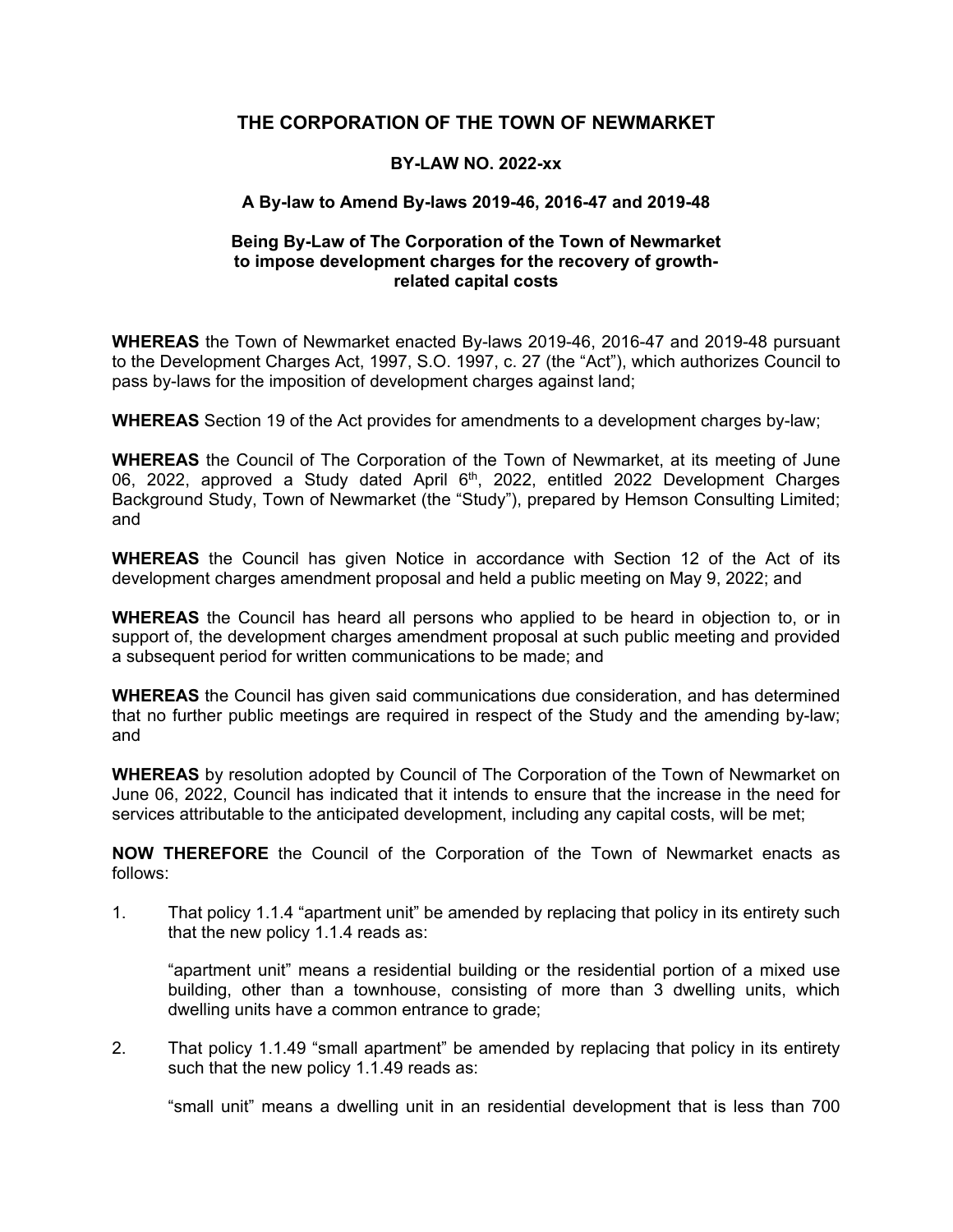# **THE CORPORATION OF THE TOWN OF NEWMARKET**

## **BY-LAW NO. 2022-xx**

## **A By-law to Amend By-laws 2019-46, 2016-47 and 2019-48**

#### **Being By-Law of The Corporation of the Town of Newmarket to impose development charges for the recovery of growthrelated capital costs**

 to the Development Charges Act, 1997, S.O. 1997, c. 27 (the "Act"), which authorizes Council to **WHEREAS** the Town of Newmarket enacted By-laws 2019-46, 2016-47 and 2019-48 pursuant pass by-laws for the imposition of development charges against land;

**WHEREAS** Section 19 of the Act provides for amendments to a development charges by-law;

**WHEREAS** the Council of The Corporation of the Town of Newmarket, at its meeting of June 06, 2022, approved a Study dated April 6<sup>th</sup>, 2022, entitled 2022 Development Charges Background Study, Town of Newmarket (the "Study"), prepared by Hemson Consulting Limited; and

**WHEREAS** the Council has given Notice in accordance with Section 12 of the Act of its development charges amendment proposal and held a public meeting on May 9, 2022; and

 **WHEREAS** the Council has heard all persons who applied to be heard in objection to, or in support of, the development charges amendment proposal at such public meeting and provided a subsequent period for written communications to be made; and

**WHEREAS** the Council has given said communications due consideration, and has determined that no further public meetings are required in respect of the Study and the amending by-law; and

**WHEREAS** by resolution adopted by Council of The Corporation of the Town of Newmarket on June 06, 2022, Council has indicated that it intends to ensure that the increase in the need for services attributable to the anticipated development, including any capital costs, will be met;

 **NOW THEREFORE** the Council of the Corporation of the Town of Newmarket enacts as follows:

 that the new policy 1.1.4 reads as: 1. That policy 1.1.4 "apartment unit" be amended by replacing that policy in its entirety such

 building, other than a townhouse, consisting of more than 3 dwelling units, which "apartment unit" means a residential building or the residential portion of a mixed use dwelling units have a common entrance to grade;

2. That policy 1.1.49 "small apartment" be amended by replacing that policy in its entirety such that the new policy 1.1.49 reads as:

"small unit" means a dwelling unit in an residential development that is less than 700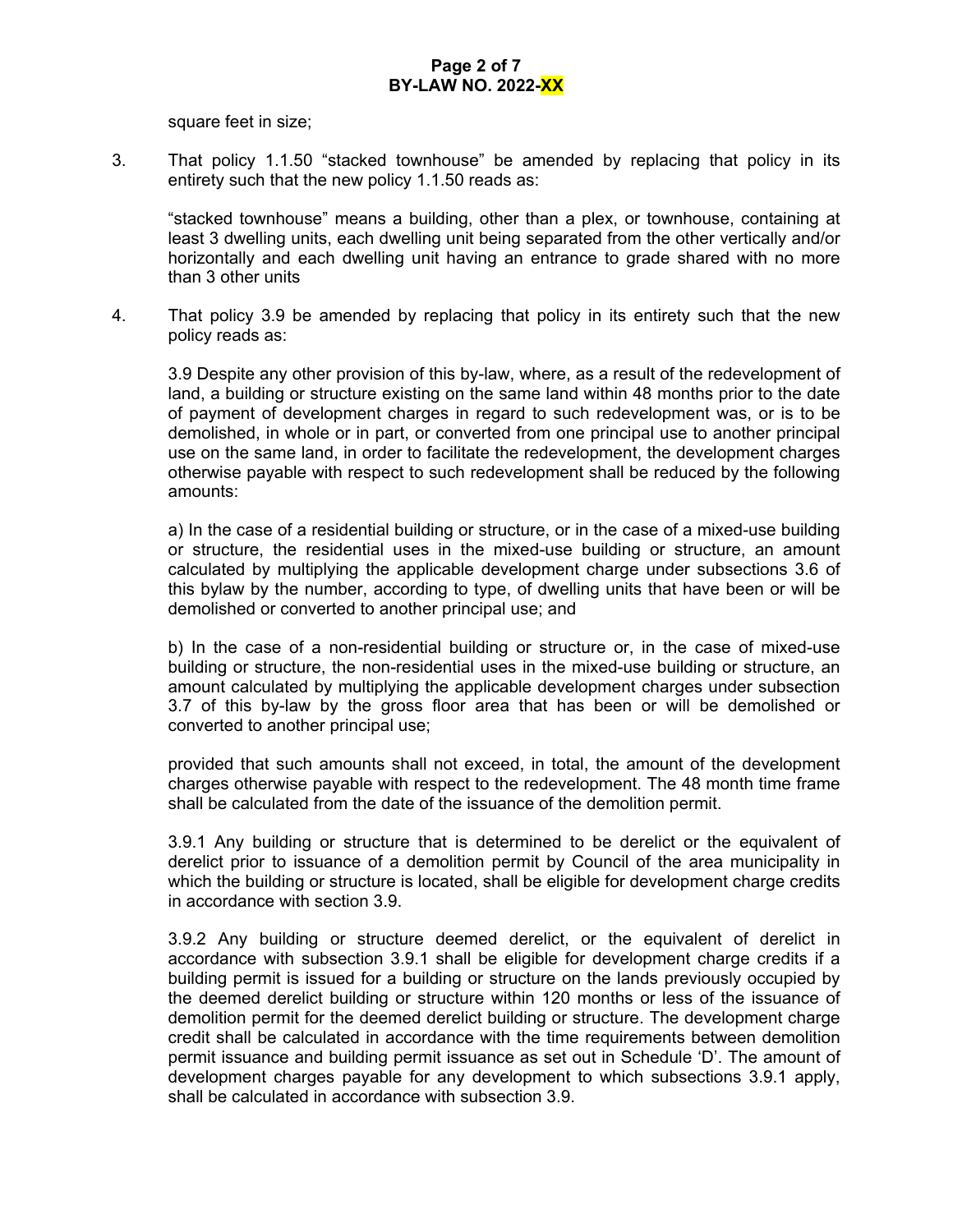square feet in size;

3. That policy 1.1.50 "stacked townhouse" be amended by replacing that policy in its entirety such that the new policy 1.1.50 reads as:

 horizontally and each dwelling unit having an entrance to grade shared with no more "stacked townhouse" means a building, other than a plex, or townhouse, containing at least 3 dwelling units, each dwelling unit being separated from the other vertically and/or than 3 other units

4. That policy 3.9 be amended by replacing that policy in its entirety such that the new policy reads as:

 of payment of development charges in regard to such redevelopment was, or is to be 3.9 Despite any other provision of this by-law, where, as a result of the redevelopment of land, a building or structure existing on the same land within 48 months prior to the date demolished, in whole or in part, or converted from one principal use to another principal use on the same land, in order to facilitate the redevelopment, the development charges otherwise payable with respect to such redevelopment shall be reduced by the following amounts:

a) In the case of a residential building or structure, or in the case of a mixed-use building or structure, the residential uses in the mixed-use building or structure, an amount calculated by multiplying the applicable development charge under subsections 3.6 of this bylaw by the number, according to type, of dwelling units that have been or will be demolished or converted to another principal use; and

 building or structure, the non-residential uses in the mixed-use building or structure, an b) In the case of a non-residential building or structure or, in the case of mixed-use amount calculated by multiplying the applicable development charges under subsection 3.7 of this by-law by the gross floor area that has been or will be demolished or converted to another principal use;

provided that such amounts shall not exceed, in total, the amount of the development charges otherwise payable with respect to the redevelopment. The 48 month time frame shall be calculated from the date of the issuance of the demolition permit.

 derelict prior to issuance of a demolition permit by Council of the area municipality in 3.9.1 Any building or structure that is determined to be derelict or the equivalent of which the building or structure is located, shall be eligible for development charge credits in accordance with section 3.9.

 accordance with subsection 3.9.1 shall be eligible for development charge credits if a 3.9.2 Any building or structure deemed derelict, or the equivalent of derelict in building permit is issued for a building or structure on the lands previously occupied by the deemed derelict building or structure within 120 months or less of the issuance of demolition permit for the deemed derelict building or structure. The development charge credit shall be calculated in accordance with the time requirements between demolition permit issuance and building permit issuance as set out in Schedule 'D'. The amount of development charges payable for any development to which subsections 3.9.1 apply, shall be calculated in accordance with subsection 3.9.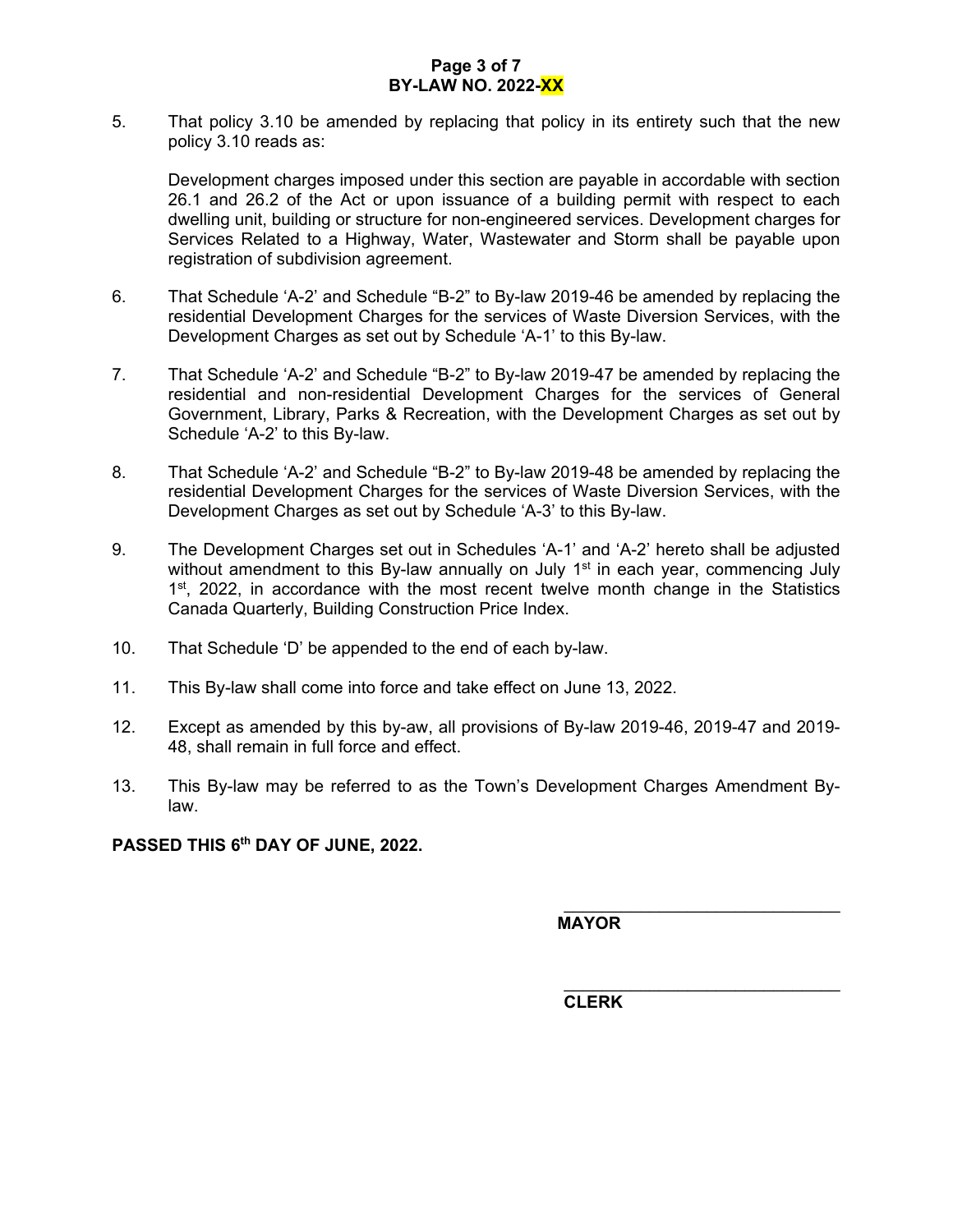# **Page 3 of 7 BY-LAW NO. 2022-XX**

5. That policy 3.10 be amended by replacing that policy in its entirety such that the new policy 3.10 reads as:

Development charges imposed under this section are payable in accordable with section 26.1 and 26.2 of the Act or upon issuance of a building permit with respect to each dwelling unit, building or structure for non-engineered services. Development charges for Services Related to a Highway, Water, Wastewater and Storm shall be payable upon registration of subdivision agreement.

- 6. That Schedule 'A-2' and Schedule "B-2" to By-law 2019-46 be amended by replacing the residential Development Charges for the services of Waste Diversion Services, with the Development Charges as set out by Schedule 'A-1' to this By-law.
- 7. That Schedule 'A-2' and Schedule "B-2" to By-law 2019-47 be amended by replacing the residential and non-residential Development Charges for the services of General Government, Library, Parks & Recreation, with the Development Charges as set out by Schedule 'A-2' to this By-law.
- 8. That Schedule 'A-2' and Schedule "B-2" to By-law 2019-48 be amended by replacing the residential Development Charges for the services of Waste Diversion Services, with the Development Charges as set out by Schedule 'A-3' to this By-law.
- 9. The Development Charges set out in Schedules 'A-1' and 'A-2' hereto shall be adjusted without amendment to this By-law annually on July  $1<sup>st</sup>$  in each year, commencing July  $1<sup>st</sup>$ , 2022, in accordance with the most recent twelve month change in the Statistics Canada Quarterly, Building Construction Price Index.
- 10. That Schedule 'D' be appended to the end of each by-law.
- 11. This By-law shall come into force and take effect on June 13, 2022.
- 12. Except as amended by this by-aw, all provisions of By-law 2019-46, 2019-47 and 2019- 48, shall remain in full force and effect.
- 13. This By-law may be referred to as the Town's Development Charges Amendment Bylaw.

**PASSED THIS 6th DAY OF JUNE, 2022.** 

**MAYOR**

 $\mathcal{L}_\text{max}$  , where  $\mathcal{L}_\text{max}$  and  $\mathcal{L}_\text{max}$ 

 $\mathcal{L}_\text{max}$  , where  $\mathcal{L}_\text{max}$  and  $\mathcal{L}_\text{max}$  **CLERK**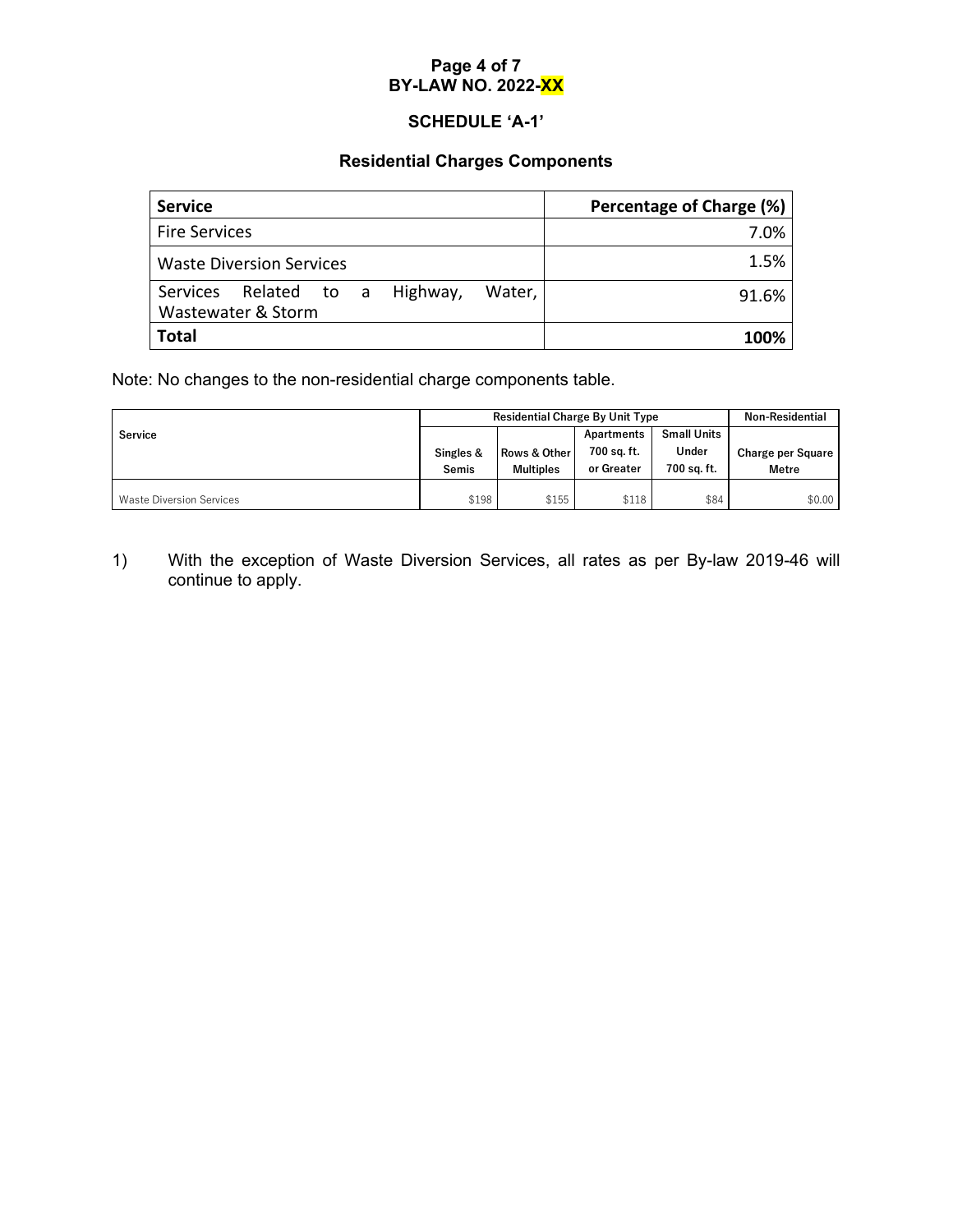# **Page 4 of 7 BY-LAW NO. 2022-XX**

# **SCHEDULE 'A-1'**

# **Residential Charges Components**

| <b>Service</b>                                                       | Percentage of Charge (%) |
|----------------------------------------------------------------------|--------------------------|
| <b>Fire Services</b>                                                 | 7.0%                     |
| <b>Waste Diversion Services</b>                                      | 1.5%                     |
| Related to a<br>Highway,<br>Services<br>Water,<br>Wastewater & Storm | 91.6%                    |
| <b>Total</b>                                                         | 100%                     |

Note: No changes to the non-residential charge components table.

|                                 | <b>Residential Charge By Unit Type</b> |                         |             | <b>Non-Residential</b> |                   |
|---------------------------------|----------------------------------------|-------------------------|-------------|------------------------|-------------------|
| Service                         |                                        |                         | Apartments  | <b>Small Units</b>     |                   |
|                                 | Singles &                              | <b>Rows &amp; Other</b> | 700 sq. ft. | Under                  | Charge per Square |
|                                 | Semis                                  | <b>Multiples</b>        | or Greater  | 700 sa. ft.            | <b>Metre</b>      |
| <b>Waste Diversion Services</b> | \$198                                  | \$155                   | \$118       | \$84                   | \$0.00            |

1) With the exception of Waste Diversion Services, all rates as per By-law 2019-46 will continue to apply.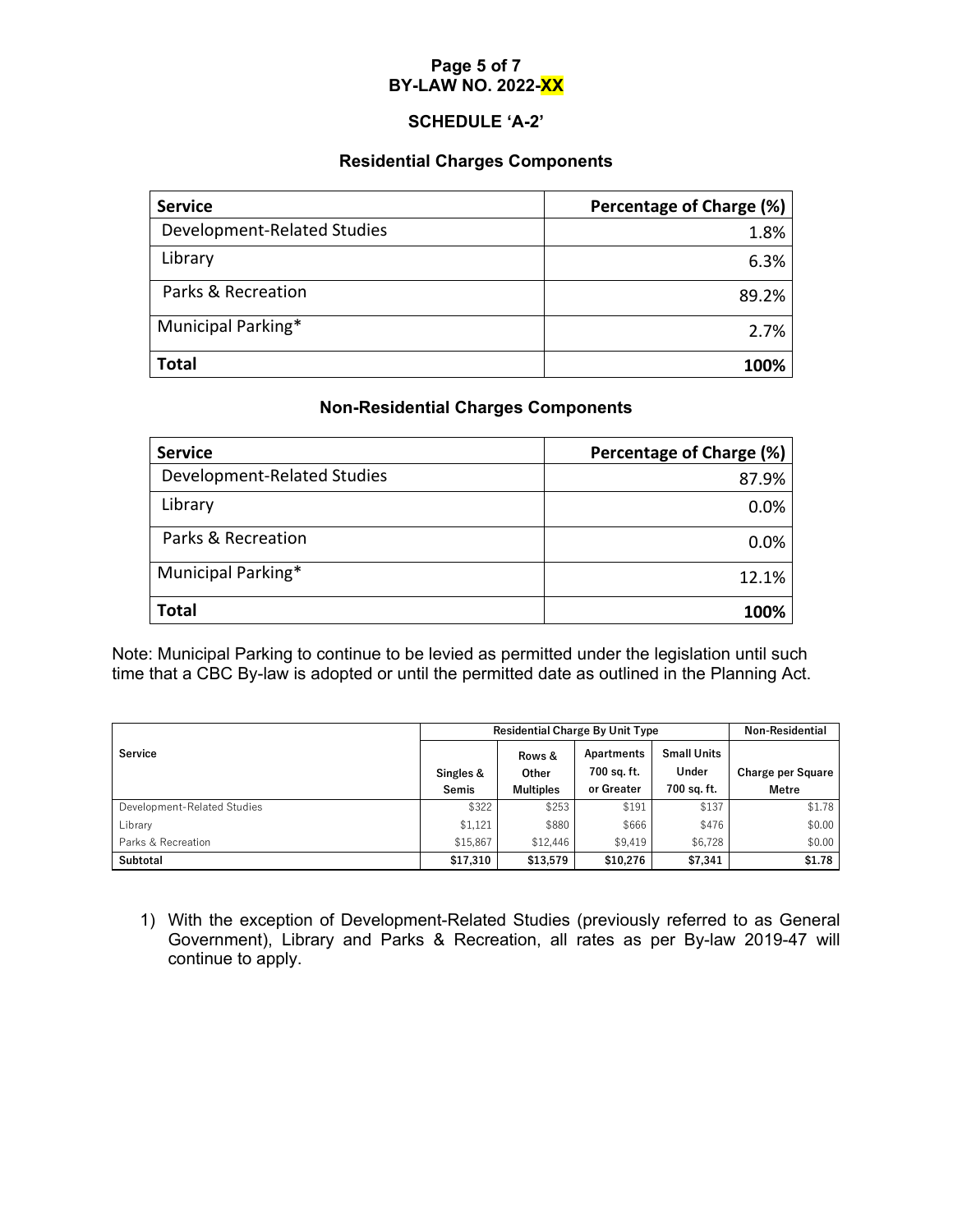# **Page 5 of 7 BY-LAW NO. 2022-XX**

# **SCHEDULE 'A-2'**

#### **Residential Charges Components**

| <b>Service</b>              | Percentage of Charge (%) |
|-----------------------------|--------------------------|
| Development-Related Studies | 1.8%                     |
| Library                     | 6.3%                     |
| Parks & Recreation          | 89.2%                    |
| Municipal Parking*          | 2.7%                     |
| <b>Total</b>                | 100%                     |

# **Non-Residential Charges Components**

| <b>Service</b>              | Percentage of Charge (%) |
|-----------------------------|--------------------------|
| Development-Related Studies | 87.9%                    |
| Library                     | 0.0%                     |
| Parks & Recreation          | 0.0%                     |
| Municipal Parking*          | 12.1%                    |
| <b>Total</b>                | 100%                     |

Note: Municipal Parking to continue to be levied as permitted under the legislation until such time that a CBC By-law is adopted or until the permitted date as outlined in the Planning Act.

|                             | <b>Residential Charge By Unit Type</b> |                  |                           | <b>Non-Residential</b>      |                          |
|-----------------------------|----------------------------------------|------------------|---------------------------|-----------------------------|--------------------------|
| <b>Service</b>              | Singles &                              | Rows &<br>Other  | Apartments<br>700 sq. ft. | <b>Small Units</b><br>Under | <b>Charge per Square</b> |
|                             | Semis                                  | <b>Multiples</b> | or Greater                | 700 sa. ft.                 | <b>Metre</b>             |
| Development-Related Studies | \$322                                  | \$253            | \$191                     | \$137                       | \$1.78                   |
| Library                     | \$1.121                                | \$880            | \$666                     | \$476                       | \$0.00                   |
| Parks & Recreation          | \$15,867                               | \$12,446         | \$9.419                   | \$6,728                     | \$0.00                   |
| Subtotal                    | \$17,310                               | \$13,579         | \$10,276                  | \$7,341                     | \$1.78                   |

1) With the exception of Development-Related Studies (previously referred to as General Government), Library and Parks & Recreation, all rates as per By-law 2019-47 will continue to apply.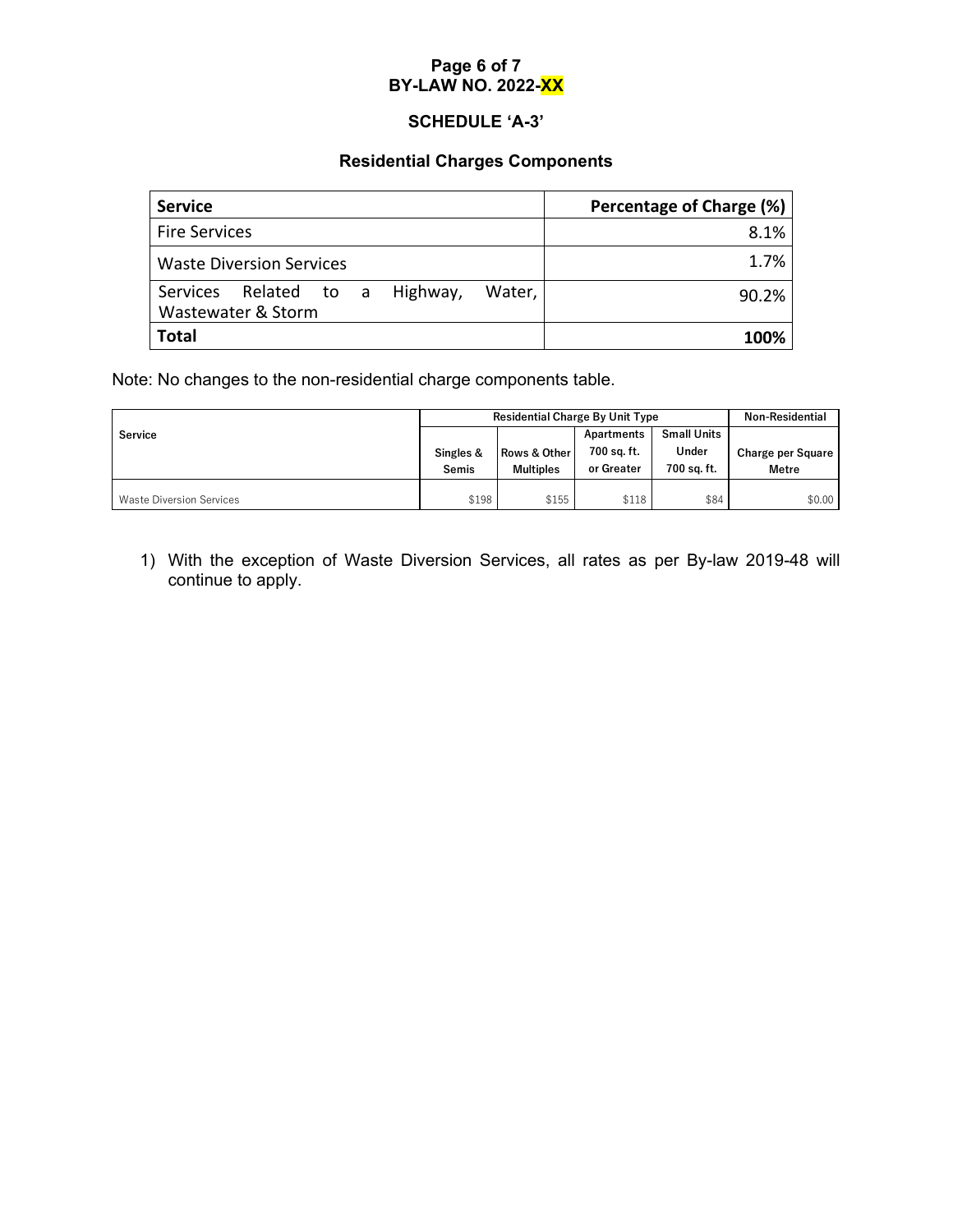# **Page 6 of 7 BY-LAW NO. 2022-XX**

# **SCHEDULE 'A-3'**

# **Residential Charges Components**

| <b>Service</b>                                                          | Percentage of Charge (%) |
|-------------------------------------------------------------------------|--------------------------|
| <b>Fire Services</b>                                                    | 8.1%                     |
| <b>Waste Diversion Services</b>                                         | 1.7%                     |
| Related<br>Highway,<br>Services<br>to a<br>Water,<br>Wastewater & Storm | 90.2%                    |
| <b>Total</b>                                                            | 100%                     |

Note: No changes to the non-residential charge components table.

|                                 | <b>Residential Charge By Unit Type</b> |                  |             | <b>Non-Residential</b> |                   |
|---------------------------------|----------------------------------------|------------------|-------------|------------------------|-------------------|
| <b>Service</b>                  |                                        |                  | Apartments  | <b>Small Units</b>     |                   |
|                                 | Singles &                              | Rows & Other     | 700 sq. ft. | Under                  | Charge per Square |
|                                 | Semis                                  | <b>Multiples</b> | or Greater  | 700 sa. ft.            | <b>Metre</b>      |
|                                 |                                        |                  |             |                        |                   |
| <b>Waste Diversion Services</b> | \$198                                  | \$155            | \$118       | \$84                   | \$0.00            |

1) With the exception of Waste Diversion Services, all rates as per By-law 2019-48 will continue to apply.